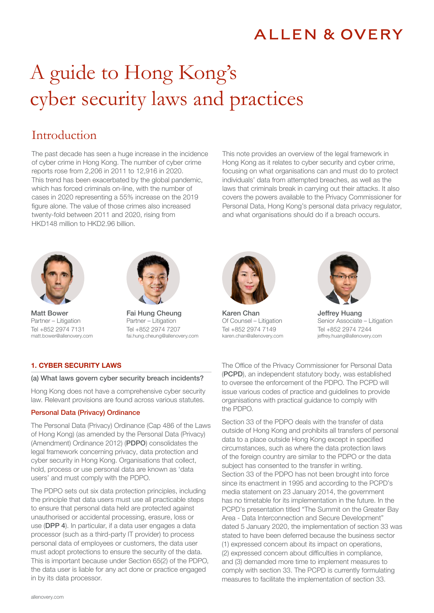## **ALLEN & OVERY**

# A guide to Hong Kong's cyber security laws and practices

## Introduction

The past decade has seen a huge increase in the incidence of cyber crime in Hong Kong. The number of cyber crime reports rose from 2,206 in 2011 to 12,916 in 2020. This trend has been exacerbated by the global pandemic, which has forced criminals on-line, with the number of cases in 2020 representing a 55% increase on the 2019 figure alone. The value of those crimes also increased twenty-fold between 2011 and 2020, rising from HKD148 million to HKD2.96 billion.

This note provides an overview of the legal framework in Hong Kong as it relates to cyber security and cyber crime, focusing on what organisations can and must do to protect individuals' data from attempted breaches, as well as the laws that criminals break in carrying out their attacks. It also covers the powers available to the Privacy Commissioner for Personal Data, Hong Kong's personal data privacy regulator, and what organisations should do if a breach occurs.



Matt Bower Partner – Litigation Tel +852 2974 7131 matt.bower@allenovery.com



Fai Hung Cheung Partner – Litigation Tel +852 2974 7207 fai.hung.cheung@allenovery.com

#### 1. CYBER SECURITY LAWS

#### (a) What laws govern cyber security breach incidents?

Hong Kong does not have a comprehensive cyber security law. Relevant provisions are found across various statutes.

#### Personal Data (Privacy) Ordinance

The Personal Data (Privacy) Ordinance (Cap 486 of the Laws of Hong Kong) (as amended by the Personal Data (Privacy) (Amendment) Ordinance 2012) (PDPO) consolidates the legal framework concerning privacy, data protection and cyber security in Hong Kong. Organisations that collect, hold, process or use personal data are known as 'data users' and must comply with the PDPO.

The PDPO sets out six data protection principles, including the principle that data users must use all practicable steps to ensure that personal data held are protected against unauthorised or accidental processing, erasure, loss or use (DPP 4). In particular, if a data user engages a data processor (such as a third-party IT provider) to process personal data of employees or customers, the data user must adopt protections to ensure the security of the data. This is important because under Section 65(2) of the PDPO, the data user is liable for any act done or practice engaged in by its data processor.



Karen Chan Of Counsel – Litigation Tel +852 2974 7149 karen.chan@allenovery.com



Jeffrey Huang Senior Associate – Litigation Tel +852 2974 7244 jeffrey.huang@allenovery.com

The Office of the Privacy Commissioner for Personal Data (PCPD), an independent statutory body, was established to oversee the enforcement of the PDPO. The PCPD will issue various codes of practice and guidelines to provide organisations with practical guidance to comply with the PDPO.

Section 33 of the PDPO deals with the transfer of data outside of Hong Kong and prohibits all transfers of personal data to a place outside Hong Kong except in specified circumstances, such as where the data protection laws of the foreign country are similar to the PDPO or the data subject has consented to the transfer in writing. Section 33 of the PDPO has not been brought into force since its enactment in 1995 and according to the PCPD's media statement on 23 January 2014, the government has no timetable for its implementation in the future. In the PCPD's presentation titled "The Summit on the Greater Bay Area - Data Interconnection and Secure Development" dated 5 January 2020, the implementation of section 33 was stated to have been deferred because the business sector (1) expressed concern about its impact on operations, (2) expressed concern about difficulties in compliance, and (3) demanded more time to implement measures to comply with section 33. The PCPD is currently formulating measures to facilitate the implementation of section 33.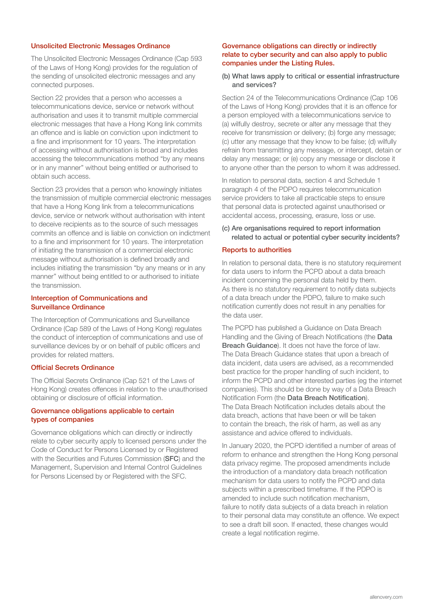#### Unsolicited Electronic Messages Ordinance

The Unsolicited Electronic Messages Ordinance (Cap 593 of the Laws of Hong Kong) provides for the regulation of the sending of unsolicited electronic messages and any connected purposes.

Section 22 provides that a person who accesses a telecommunications device, service or network without authorisation and uses it to transmit multiple commercial electronic messages that have a Hong Kong link commits an offence and is liable on conviction upon indictment to a fine and imprisonment for 10 years. The interpretation of accessing without authorisation is broad and includes accessing the telecommunications method "by any means or in any manner" without being entitled or authorised to obtain such access.

Section 23 provides that a person who knowingly initiates the transmission of multiple commercial electronic messages that have a Hong Kong link from a telecommunications device, service or network without authorisation with intent to deceive recipients as to the source of such messages commits an offence and is liable on conviction on indictment to a fine and imprisonment for 10 years. The interpretation of initiating the transmission of a commercial electronic message without authorisation is defined broadly and includes initiating the transmission "by any means or in any manner" without being entitled to or authorised to initiate the transmission.

#### Interception of Communications and Surveillance Ordinance

The Interception of Communications and Surveillance Ordinance (Cap 589 of the Laws of Hong Kong) regulates the conduct of interception of communications and use of surveillance devices by or on behalf of public officers and provides for related matters.

#### Official Secrets Ordinance

The Official Secrets Ordinance (Cap 521 of the Laws of Hong Kong) creates offences in relation to the unauthorised obtaining or disclosure of official information.

#### Governance obligations applicable to certain types of companies

Governance obligations which can directly or indirectly relate to cyber security apply to licensed persons under the Code of Conduct for Persons Licensed by or Registered with the Securities and Futures Commission (SFC) and the Management, Supervision and Internal Control Guidelines for Persons Licensed by or Registered with the SFC.

#### Governance obligations can directly or indirectly relate to cyber security and can also apply to public companies under the Listing Rules.

#### (b) What laws apply to critical or essential infrastructure and services?

Section 24 of the Telecommunications Ordinance (Cap 106 of the Laws of Hong Kong) provides that it is an offence for a person employed with a telecommunications service to (a) wilfully destroy, secrete or alter any message that they receive for transmission or delivery; (b) forge any message; (c) utter any message that they know to be false; (d) wilfully refrain from transmitting any message, or intercept, detain or delay any message; or (e) copy any message or disclose it to anyone other than the person to whom it was addressed.

In relation to personal data, section 4 and Schedule 1 paragraph 4 of the PDPO requires telecommunication service providers to take all practicable steps to ensure that personal data is protected against unauthorised or accidental access, processing, erasure, loss or use.

#### (c) Are organisations required to report information related to actual or potential cyber security incidents?

#### Reports to authorities

In relation to personal data, there is no statutory requirement for data users to inform the PCPD about a data breach incident concerning the personal data held by them. As there is no statutory requirement to notify data subjects of a data breach under the PDPO, failure to make such notification currently does not result in any penalties for the data user.

The PCPD has published a Guidance on Data Breach Handling and the Giving of Breach Notifications (the Data Breach Guidance). It does not have the force of law. The Data Breach Guidance states that upon a breach of data incident, data users are advised, as a recommended best practice for the proper handling of such incident, to inform the PCPD and other interested parties (eg the internet companies). This should be done by way of a Data Breach Notification Form (the Data Breach Notification). The Data Breach Notification includes details about the data breach, actions that have been or will be taken to contain the breach, the risk of harm, as well as any assistance and advice offered to individuals.

In January 2020, the PCPD identified a number of areas of reform to enhance and strengthen the Hong Kong personal data privacy regime. The proposed amendments include the introduction of a mandatory data breach notification mechanism for data users to notify the PCPD and data subjects within a prescribed timeframe. If the PDPO is amended to include such notification mechanism, failure to notify data subjects of a data breach in relation to their personal data may constitute an offence. We expect to see a draft bill soon. If enacted, these changes would create a legal notification regime.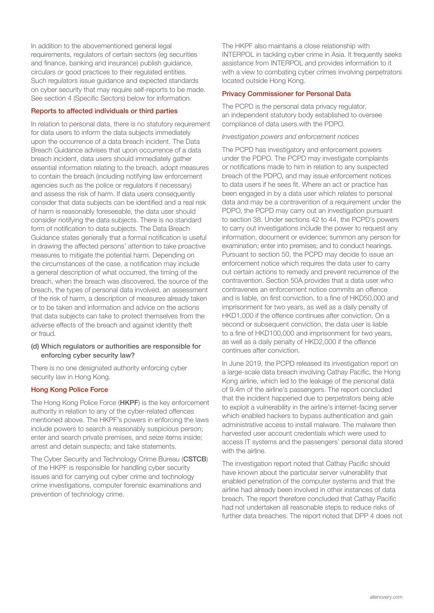In addition to the abovementioned general legal requirements, regulators of certain sectors (eg securities and finance, banking and insurance) publish guidance, circulars or good practices to their regulated entities. Such regulators issue guidance and expected standards on cyber security that may require self-reports to be made. See section 4 (Specific Sectors) below for information.

#### Reports to affected individuals or third parties

In relation to personal data, there is no statutory requirement for data users to inform the data subjects immediately upon the occurrence of a data breach incident. The Data Breach Guidance advises that upon occurrence of a data breach incident, data users should immediately gather essential information relating to the breach, adopt measures to contain the breach (including notifying law enforcement agencies such as the police or regulators if necessary) and assess the risk of harm. If data users consequently consider that data subjects can be identified and a real risk of harm is reasonably foreseeable, the data user should consider notifying the data subjects. There is no standard form of notification to data subjects. The Data Breach Guidance states generally that a formal notification is useful in drawing the affected persons' attention to take proactive measures to mitigate the potential harm. Depending on the circumstances of the case, a notification may include a general description of what occurred, the timing of the breach, when the breach was discovered, the source of the breach, the types of personal data involved, an assessment of the risk of harm, a description of measures already taken or to be taken and information and advice on the actions that data subjects can take to protect themselves from the adverse effects of the breach and against identity theft or fraud.

#### (d) Which regulators or authorities are responsible for enforcing cyber security law?

There is no one designated authority enforcing cyber security law in Hong Kong.

#### Hong Kong Police Force

The Hong Kong Police Force (HKPF) is the key enforcement authority in relation to any of the cyber-related offences mentioned above. The HKPF's powers in enforcing the laws include powers to search a reasonably suspicious person; enter and search private premises, and seize items inside; arrest and detain suspects; and take statements.

The Cyber Security and Technology Crime Bureau (CSTCB) of the HKPF is responsible for handling cyber security issues and for carrying out cyber crime and technology crime investigations, computer forensic examinations and prevention of technology crime.

The HKPF also maintains a close relationship with INTERPOL in tackling cyber crime in Asia. It frequently seeks assistance from INTERPOL and provides information to it with a view to combating cyber crimes involving perpetrators located outside Hong Kong.

#### Privacy Commissioner for Personal Data

The PCPD is the personal data privacy regulator, an independent statutory body established to oversee compliance of data users with the PDPO.

#### *Investigation powers and enforcement notices*

The PCPD has investigatory and enforcement powers under the PDPO. The PCPD may investigate complaints or notifications made to him in relation to any suspected breach of the PDPO, and may issue enforcement notices to data users if he sees fit. Where an act or practice has been engaged in by a data user which relates to personal data and may be a contravention of a requirement under the PDPO, the PCPD may carry out an investigation pursuant to section 38. Under sections 42 to 44, the PCPD's powers to carry out investigations include the power to request any information, document or evidence; summon any person for examination; enter into premises; and to conduct hearings. Pursuant to section 50, the PCPD may decide to issue an enforcement notice which requires the data user to carry out certain actions to remedy and prevent recurrence of the contravention. Section 50A provides that a data user who contravenes an enforcement notice commits an offence and is liable, on first conviction, to a fine of HKD50,000 and imprisonment for two years, as well as a daily penalty of HKD1,000 if the offence continues after conviction. On a second or subsequent conviction, the data user is liable to a fine of HKD100,000 and imprisonment for two years, as well as a daily penalty of HKD2,000 if the offence continues after conviction.

In June 2019, the PCPD released its investigation report on a large-scale data breach involving Cathay Pacific, the Hong Kong airline, which led to the leakage of the personal data of 9.4m of the airline's passengers. The report concluded that the incident happened due to perpetrators being able to exploit a vulnerability in the airline's internet-facing server which enabled hackers to bypass authentication and gain administrative access to install malware. The malware then harvested user account credentials which were used to access IT systems and the passengers' personal data stored with the airline.

The investigation report noted that Cathay Pacific should have known about the particular server vulnerability that enabled penetration of the computer systems and that the airline had already been involved in other instances of data breach. The report therefore concluded that Cathay Pacific had not undertaken all reasonable steps to reduce risks of further data breaches. The report noted that DPP 4 does not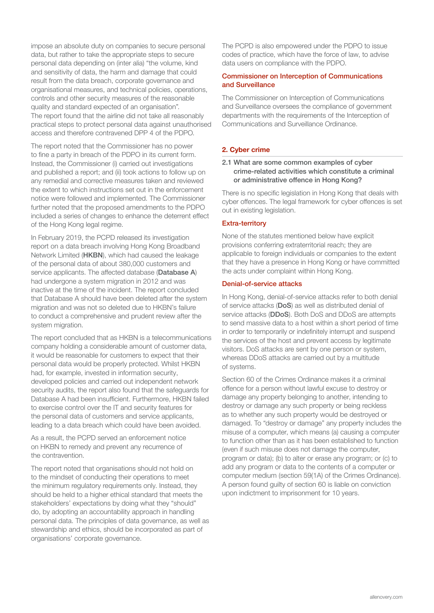impose an absolute duty on companies to secure personal data, but rather to take the appropriate steps to secure personal data depending on (inter alia) "the volume, kind and sensitivity of data, the harm and damage that could result from the data breach, corporate governance and organisational measures, and technical policies, operations, controls and other security measures of the reasonable quality and standard expected of an organisation". The report found that the airline did not take all reasonably practical steps to protect personal data against unauthorised access and therefore contravened DPP 4 of the PDPO.

The report noted that the Commissioner has no power to fine a party in breach of the PDPO in its current form. Instead, the Commissioner (i) carried out investigations and published a report; and (ii) took actions to follow up on any remedial and corrective measures taken and reviewed the extent to which instructions set out in the enforcement notice were followed and implemented. The Commissioner further noted that the proposed amendments to the PDPO included a series of changes to enhance the deterrent effect of the Hong Kong legal regime.

In February 2019, the PCPD released its investigation report on a data breach involving Hong Kong Broadband Network Limited (HKBN), which had caused the leakage of the personal data of about 380,000 customers and service applicants. The affected database (Database A) had undergone a system migration in 2012 and was inactive at the time of the incident. The report concluded that Database A should have been deleted after the system migration and was not so deleted due to HKBN's failure to conduct a comprehensive and prudent review after the system migration.

The report concluded that as HKBN is a telecommunications company holding a considerable amount of customer data, it would be reasonable for customers to expect that their personal data would be properly protected. Whilst HKBN had, for example, invested in information security, developed policies and carried out independent network security audits, the report also found that the safeguards for Database A had been insufficient. Furthermore, HKBN failed to exercise control over the IT and security features for the personal data of customers and service applicants, leading to a data breach which could have been avoided.

As a result, the PCPD served an enforcement notice on HKBN to remedy and prevent any recurrence of the contravention.

The report noted that organisations should not hold on to the mindset of conducting their operations to meet the minimum regulatory requirements only. Instead, they should be held to a higher ethical standard that meets the stakeholders' expectations by doing what they "should" do, by adopting an accountability approach in handling personal data. The principles of data governance, as well as stewardship and ethics, should be incorporated as part of organisations' corporate governance.

The PCPD is also empowered under the PDPO to issue codes of practice, which have the force of law, to advise data users on compliance with the PDPO.

#### Commissioner on Interception of Communications and Surveillance

The Commissioner on Interception of Communications and Surveillance oversees the compliance of government departments with the requirements of the Interception of Communications and Surveillance Ordinance.

#### 2. Cyber crime

#### 2.1 What are some common examples of cyber crime-related activities which constitute a criminal or administrative offence in Hong Kong?

There is no specific legislation in Hong Kong that deals with cyber offences. The legal framework for cyber offences is set out in existing legislation.

#### Extra-territory

None of the statutes mentioned below have explicit provisions conferring extraterritorial reach; they are applicable to foreign individuals or companies to the extent that they have a presence in Hong Kong or have committed the acts under complaint within Hong Kong.

#### Denial-of-service attacks

In Hong Kong, denial-of-service attacks refer to both denial of service attacks (DoS) as well as distributed denial of service attacks (DDoS). Both DoS and DDoS are attempts to send massive data to a host within a short period of time in order to temporarily or indefinitely interrupt and suspend the services of the host and prevent access by legitimate visitors. DoS attacks are sent by one person or system, whereas DDoS attacks are carried out by a multitude of systems.

Section 60 of the Crimes Ordinance makes it a criminal offence for a person without lawful excuse to destroy or damage any property belonging to another, intending to destroy or damage any such property or being reckless as to whether any such property would be destroyed or damaged. To "destroy or damage" any property includes the misuse of a computer, which means (a) causing a computer to function other than as it has been established to function (even if such misuse does not damage the computer, program or data); (b) to alter or erase any program; or (c) to add any program or data to the contents of a computer or computer medium (section 59(1A) of the Crimes Ordinance). A person found guilty of section 60 is liable on conviction upon indictment to imprisonment for 10 years.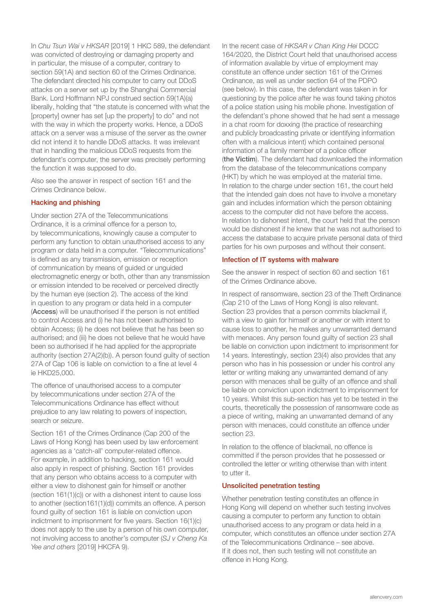In *Chu Tsun Wai v HKSAR* [2019] 1 HKC 589, the defendant was convicted of destroying or damaging property and in particular, the misuse of a computer, contrary to section 59(1A) and section 60 of the Crimes Ordinance. The defendant directed his computer to carry out DDoS attacks on a server set up by the Shanghai Commercial Bank. Lord Hoffmann NPJ construed section 59(1A)(a) liberally, holding that "the statute is concerned with what the [property] owner has set [up the property] to do" and not with the way in which the property works. Hence, a DDoS attack on a server was a misuse of the server as the owner did not intend it to handle DDoS attacks. It was irrelevant that in handling the malicious DDoS requests from the defendant's computer, the server was precisely performing the function it was supposed to do.

Also see the answer in respect of section 161 and the Crimes Ordinance below.

#### Hacking and phishing

Under section 27A of the Telecommunications Ordinance, it is a criminal offence for a person to, by telecommunications, knowingly cause a computer to perform any function to obtain unauthorised access to any program or data held in a computer. "Telecommunications" is defined as any transmission, emission or reception of communication by means of guided or unguided electromagnetic energy or both, other than any transmission or emission intended to be received or perceived directly by the human eye (section 2). The access of the kind in question to any program or data held in a computer (Access) will be unauthorised if the person is not entitled to control Access and (i) he has not been authorised to obtain Access; (ii) he does not believe that he has been so authorised; and (iii) he does not believe that he would have been so authorised if he had applied for the appropriate authority (section 27A(2)(b)). A person found guilty of section 27A of Cap 106 is liable on conviction to a fine at level 4 ie HKD25,000.

The offence of unauthorised access to a computer by telecommunications under section 27A of the Telecommunications Ordinance has effect without prejudice to any law relating to powers of inspection, search or seizure.

Section 161 of the Crimes Ordinance (Cap 200 of the Laws of Hong Kong) has been used by law enforcement agencies as a 'catch-all' computer-related offence. For example, in addition to hacking, section 161 would also apply in respect of phishing. Section 161 provides that any person who obtains access to a computer with either a view to dishonest gain for himself or another (section 161(1)(c)) or with a dishonest intent to cause loss to another (section161(1)(d)) commits an offence. A person found guilty of section 161 is liable on conviction upon indictment to imprisonment for five years. Section 16(1)(c) does not apply to the use by a person of his own computer, not involving access to another's computer (*SJ v Cheng Ka Yee and others* [2019] HKCFA 9).

In the recent case of *HKSAR v Chan King Hei* DCCC 164/2020, the District Court held that unauthorised access of information available by virtue of employment may constitute an offence under section 161 of the Crimes Ordinance, as well as under section 64 of the PDPO (see below). In this case, the defendant was taken in for questioning by the police after he was found taking photos of a police station using his mobile phone. Investigation of the defendant's phone showed that he had sent a message in a chat room for doxxing (the practice of researching and publicly broadcasting private or identifying information often with a malicious intent) which contained personal information of a family member of a police officer (the Victim). The defendant had downloaded the information from the database of the telecommunications company (HKT) by which he was employed at the material time. In relation to the charge under section 161, the court held that the intended gain does not have to involve a monetary gain and includes information which the person obtaining access to the computer did not have before the access. In relation to dishonest intent, the court held that the person would be dishonest if he knew that he was not authorised to access the database to acquire private personal data of third parties for his own purposes and without their consent.

#### Infection of IT systems with malware

See the answer in respect of section 60 and section 161 of the Crimes Ordinance above.

In respect of ransomware, section 23 of the Theft Ordinance (Cap 210 of the Laws of Hong Kong) is also relevant. Section 23 provides that a person commits blackmail if, with a view to gain for himself or another or with intent to cause loss to another, he makes any unwarranted demand with menaces. Any person found guilty of section 23 shall be liable on conviction upon indictment to imprisonment for 14 years. Interestingly, section 23(4) also provides that any person who has in his possession or under his control any letter or writing making any unwarranted demand of any person with menaces shall be guilty of an offence and shall be liable on conviction upon indictment to imprisonment for 10 years. Whilst this sub-section has yet to be tested in the courts, theoretically the possession of ransomware code as a piece of writing, making an unwarranted demand of any person with menaces, could constitute an offence under section 23.

In relation to the offence of blackmail, no offence is committed if the person provides that he possessed or controlled the letter or writing otherwise than with intent to utter it.

#### Unsolicited penetration testing

Whether penetration testing constitutes an offence in Hong Kong will depend on whether such testing involves causing a computer to perform any function to obtain unauthorised access to any program or data held in a computer, which constitutes an offence under section 27A of the Telecommunications Ordinance – see above. If it does not, then such testing will not constitute an offence in Hong Kong.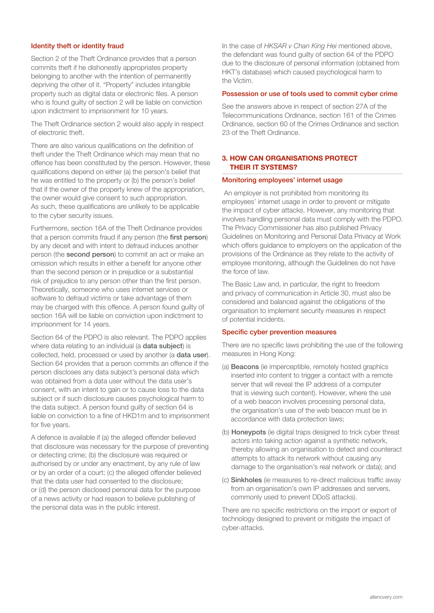#### Identity theft or identity fraud

Section 2 of the Theft Ordinance provides that a person commits theft if he dishonestly appropriates property belonging to another with the intention of permanently depriving the other of it. "Property" includes intangible property such as digital data or electronic files. A person who is found quilty of section 2 will be liable on conviction upon indictment to imprisonment for 10 years.

The Theft Ordinance section 2 would also apply in respect of electronic theft.

There are also various qualifications on the definition of theft under the Theft Ordinance which may mean that no offence has been constituted by the person. However, these qualifications depend on either (a) the person's belief that he was entitled to the property or (b) the person's belief that if the owner of the property knew of the appropriation, the owner would give consent to such appropriation. As such, these qualifications are unlikely to be applicable to the cyber security issues.

Furthermore, section 16A of the Theft Ordinance provides that a person commits fraud if any person (the first person) by any deceit and with intent to defraud induces another person (the second person) to commit an act or make an omission which results in either a benefit for anyone other than the second person or in prejudice or a substantial risk of prejudice to any person other than the first person. Theoretically, someone who uses internet services or software to defraud victims or take advantage of them may be charged with this offence. A person found guilty of section 16A will be liable on conviction upon indictment to imprisonment for 14 years.

Section 64 of the PDPO is also relevant. The PDPO applies where data relating to an individual (a **data subject**) is collected, held, processed or used by another (a data user). Section 64 provides that a person commits an offence if the person discloses any data subject's personal data which was obtained from a data user without the data user's consent, with an intent to gain or to cause loss to the data subject or if such disclosure causes psychological harm to the data subject. A person found guilty of section 64 is liable on conviction to a fine of HKD1m and to imprisonment for five years.

A defence is available if (a) the alleged offender believed that disclosure was necessary for the purpose of preventing or detecting crime; (b) the disclosure was required or authorised by or under any enactment, by any rule of law or by an order of a court; (c) the alleged offender believed that the data user had consented to the disclosure; or (d) the person disclosed personal data for the purpose of a news activity or had reason to believe publishing of the personal data was in the public interest.

In the case of *HKSAR v Chan King Hei* mentioned above, the defendant was found guilty of section 64 of the PDPO due to the disclosure of personal information (obtained from HKT's database) which caused psychological harm to the Victim.

#### Possession or use of tools used to commit cyber crime

See the answers above in respect of section 27A of the Telecommunications Ordinance, section 161 of the Crimes Ordinance, section 60 of the Crimes Ordinance and section 23 of the Theft Ordinance.

#### 3. HOW CAN ORGANISATIONS PROTECT THEIR IT SYSTEMS?

#### Monitoring employees' internet usage

 An employer is not prohibited from monitoring its employees' internet usage in order to prevent or mitigate the impact of cyber attacks. However, any monitoring that involves handling personal data must comply with the PDPO. The Privacy Commissioner has also published Privacy Guidelines on Monitoring and Personal Data Privacy at Work which offers quidance to employers on the application of the provisions of the Ordinance as they relate to the activity of employee monitoring, although the Guidelines do not have the force of law.

The Basic Law and, in particular, the right to freedom and privacy of communication in Article 30, must also be considered and balanced against the obligations of the organisation to implement security measures in respect of potential incidents.

#### Specific cyber prevention measures

There are no specific laws prohibiting the use of the following measures in Hong Kong:

- (a) Beacons (ie imperceptible, remotely hosted graphics inserted into content to trigger a contact with a remote server that will reveal the IP address of a computer that is viewing such content). However, where the use of a web beacon involves processing personal data, the organisation's use of the web beacon must be in accordance with data protection laws;
- (b) Honeypots (ie digital traps designed to trick cyber threat actors into taking action against a synthetic network, thereby allowing an organisation to detect and counteract attempts to attack its network without causing any damage to the organisation's real network or data); and
- (c) Sinkholes (ie measures to re-direct malicious traffic away from an organisation's own IP addresses and servers, commonly used to prevent DDoS attacks).

There are no specific restrictions on the import or export of technology designed to prevent or mitigate the impact of cyber-attacks.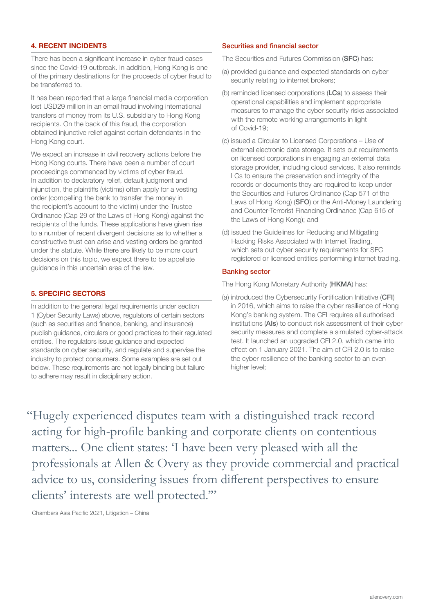#### 4. RECENT INCIDENTS

There has been a significant increase in cyber fraud cases since the Covid-19 outbreak. In addition, Hong Kong is one of the primary destinations for the proceeds of cyber fraud to be transferred to.

It has been reported that a large financial media corporation lost USD29 million in an email fraud involving international transfers of money from its U.S. subsidiary to Hong Kong recipients. On the back of this fraud, the corporation obtained injunctive relief against certain defendants in the Hong Kong court.

We expect an increase in civil recovery actions before the Hong Kong courts. There have been a number of court proceedings commenced by victims of cyber fraud. In addition to declaratory relief, default judgment and injunction, the plaintiffs (victims) often apply for a vesting order (compelling the bank to transfer the money in the recipient's account to the victim) under the Trustee Ordinance (Cap 29 of the Laws of Hong Kong) against the recipients of the funds. These applications have given rise to a number of recent divergent decisions as to whether a constructive trust can arise and vesting orders be granted under the statute. While there are likely to be more court decisions on this topic, we expect there to be appellate guidance in this uncertain area of the law.

#### 5. SPECIFIC SECTORS

In addition to the general legal requirements under section 1 (Cyber Security Laws) above, regulators of certain sectors (such as securities and finance, banking, and insurance) publish guidance, circulars or good practices to their regulated entities. The regulators issue guidance and expected standards on cyber security, and regulate and supervise the industry to protect consumers. Some examples are set out below. These requirements are not legally binding but failure to adhere may result in disciplinary action.

#### Securities and financial sector

The Securities and Futures Commission (SFC) has:

- (a) provided guidance and expected standards on cyber security relating to internet brokers;
- (b) reminded licensed corporations (LCs) to assess their operational capabilities and implement appropriate measures to manage the cyber security risks associated with the remote working arrangements in light of Covid-19;
- (c) issued a Circular to Licensed Corporations Use of external electronic data storage. It sets out requirements on licensed corporations in engaging an external data storage provider, including cloud services. It also reminds LCs to ensure the preservation and integrity of the records or documents they are required to keep under the Securities and Futures Ordinance (Cap 571 of the Laws of Hong Kong) (SFO) or the Anti-Money Laundering and Counter-Terrorist Financing Ordinance (Cap 615 of the Laws of Hong Kong); and
- (d) issued the Guidelines for Reducing and Mitigating Hacking Risks Associated with Internet Trading, which sets out cyber security requirements for SFC registered or licensed entities performing internet trading.

#### Banking sector

The Hong Kong Monetary Authority (HKMA) has:

(a) introduced the Cybersecurity Fortification Initiative (CFI) in 2016, which aims to raise the cyber resilience of Hong Kong's banking system. The CFI requires all authorised institutions (AIs) to conduct risk assessment of their cyber security measures and complete a simulated cyber-attack test. It launched an upgraded CFI 2.0, which came into effect on 1 January 2021. The aim of CFI 2.0 is to raise the cyber resilience of the banking sector to an even higher level;

"Hugely experienced disputes team with a distinguished track record acting for high-profile banking and corporate clients on contentious matters... One client states: 'I have been very pleased with all the professionals at Allen & Overy as they provide commercial and practical advice to us, considering issues from different perspectives to ensure clients' interests are well protected.'"

Chambers Asia Pacific 2021, Litigation – China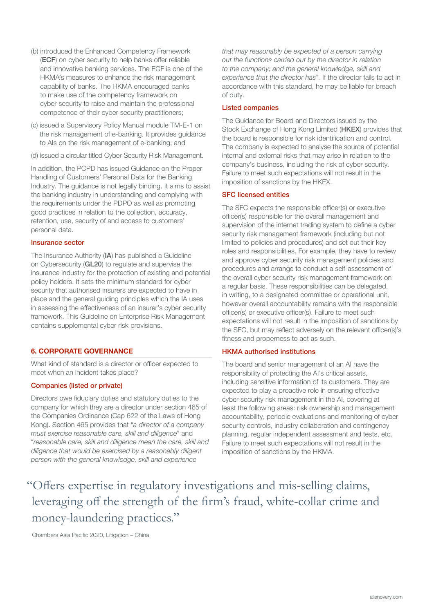- (b) introduced the Enhanced Competency Framework (ECF) on cyber security to help banks offer reliable and innovative banking services. The ECF is one of the HKMA's measures to enhance the risk management capability of banks. The HKMA encouraged banks to make use of the competency framework on cyber security to raise and maintain the professional competence of their cyber security practitioners;
- (c) issued a Supervisory Policy Manual module TM-E-1 on the risk management of e-banking. It provides guidance to AIs on the risk management of e-banking; and
- (d) issued a circular titled Cyber Security Risk Management.

In addition, the PCPD has issued Guidance on the Proper Handling of Customers' Personal Data for the Banking Industry. The guidance is not legally binding. It aims to assist the banking industry in understanding and complying with the requirements under the PDPO as well as promoting good practices in relation to the collection, accuracy, retention, use, security of and access to customers' personal data.

#### Insurance sector

The Insurance Authority (IA) has published a Guideline on Cybersecurity (GL20) to regulate and supervise the insurance industry for the protection of existing and potential policy holders. It sets the minimum standard for cyber security that authorised insurers are expected to have in place and the general guiding principles which the IA uses in assessing the effectiveness of an insurer's cyber security framework. This Guideline on Enterprise Risk Management contains supplemental cyber risk provisions.

#### 6. CORPORATE GOVERNANCE

What kind of standard is a director or officer expected to meet when an incident takes place?

#### Companies (listed or private)

Directors owe fiduciary duties and statutory duties to the company for which they are a director under section 465 of the Companies Ordinance (Cap 622 of the Laws of Hong Kong). Section 465 provides that "*a director of a company must exercise reasonable care, skill and diligence*" and "*reasonable care, skill and diligence mean the care, skill and diligence that would be exercised by a reasonably diligent person with the general knowledge, skill and experience* 

*that may reasonably be expected of a person carrying out the functions carried out by the director in relation to the company; and the general knowledge, skill and experience that the director has*"*.* If the director fails to act in accordance with this standard, he may be liable for breach of duty.

#### Listed companies

The Guidance for Board and Directors issued by the Stock Exchange of Hong Kong Limited (HKEX) provides that the board is responsible for risk identification and control. The company is expected to analyse the source of potential internal and external risks that may arise in relation to the company's business, including the risk of cyber security. Failure to meet such expectations will not result in the imposition of sanctions by the HKEX.

#### SFC licensed entities

The SFC expects the responsible officer(s) or executive officer(s) responsible for the overall management and supervision of the internet trading system to define a cyber security risk management framework (including but not limited to policies and procedures) and set out their key roles and responsibilities. For example, they have to review and approve cyber security risk management policies and procedures and arrange to conduct a self-assessment of the overall cyber security risk management framework on a regular basis. These responsibilities can be delegated, in writing, to a designated committee or operational unit, however overall accountability remains with the responsible officer(s) or executive officer(s). Failure to meet such expectations will not result in the imposition of sanctions by the SFC, but may reflect adversely on the relevant officer(s)'s fitness and properness to act as such.

#### HKMA authorised institutions

The board and senior management of an AI have the responsibility of protecting the AI's critical assets, including sensitive information of its customers. They are expected to play a proactive role in ensuring effective cyber security risk management in the AI, covering at least the following areas: risk ownership and management accountability, periodic evaluations and monitoring of cyber security controls, industry collaboration and contingency planning, regular independent assessment and tests, etc. Failure to meet such expectations will not result in the imposition of sanctions by the HKMA.

## "Offers expertise in regulatory investigations and mis-selling claims, leveraging off the strength of the firm's fraud, white-collar crime and money-laundering practices."

Chambers Asia Pacific 2020, Litigation – China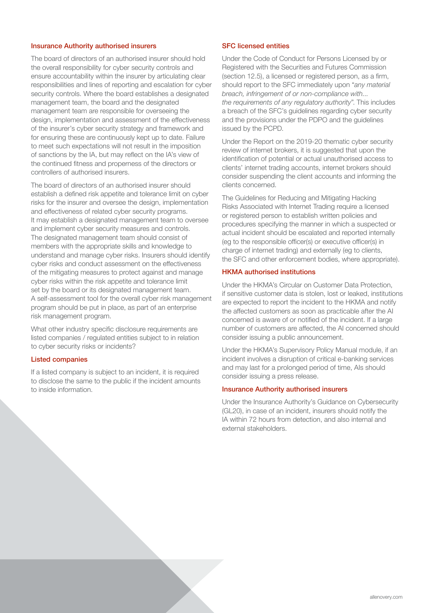#### Insurance Authority authorised insurers

The board of directors of an authorised insurer should hold the overall responsibility for cyber security controls and ensure accountability within the insurer by articulating clear responsibilities and lines of reporting and escalation for cyber security controls. Where the board establishes a designated management team, the board and the designated management team are responsible for overseeing the design, implementation and assessment of the effectiveness of the insurer's cyber security strategy and framework and for ensuring these are continuously kept up to date. Failure to meet such expectations will not result in the imposition of sanctions by the IA, but may reflect on the IA's view of the continued fitness and properness of the directors or controllers of authorised insurers.

The board of directors of an authorised insurer should establish a defined risk appetite and tolerance limit on cyber risks for the insurer and oversee the design, implementation and effectiveness of related cyber security programs. It may establish a designated management team to oversee and implement cyber security measures and controls. The designated management team should consist of members with the appropriate skills and knowledge to understand and manage cyber risks. Insurers should identify cyber risks and conduct assessment on the effectiveness of the mitigating measures to protect against and manage cyber risks within the risk appetite and tolerance limit set by the board or its designated management team. A self-assessment tool for the overall cyber risk management program should be put in place, as part of an enterprise risk management program.

What other industry specific disclosure requirements are listed companies / regulated entities subject to in relation to cyber security risks or incidents?

#### Listed companies

If a listed company is subject to an incident, it is required to disclose the same to the public if the incident amounts to inside information.

#### SFC licensed entities

Under the Code of Conduct for Persons Licensed by or Registered with the Securities and Futures Commission (section 12.5), a licensed or registered person, as a firm, should report to the SFC immediately upon "*any material breach, infringement of or non-compliance with... the requirements of any regulatory authority*". This includes a breach of the SFC's guidelines regarding cyber security and the provisions under the PDPO and the guidelines issued by the PCPD.

Under the Report on the 2019-20 thematic cyber security review of internet brokers, it is suggested that upon the identification of potential or actual unauthorised access to clients' internet trading accounts, internet brokers should consider suspending the client accounts and informing the clients concerned.

The Guidelines for Reducing and Mitigating Hacking Risks Associated with Internet Trading require a licensed or registered person to establish written policies and procedures specifying the manner in which a suspected or actual incident should be escalated and reported internally (eg to the responsible officer(s) or executive officer(s) in charge of internet trading) and externally (eg to clients, the SFC and other enforcement bodies, where appropriate).

#### HKMA authorised institutions

Under the HKMA's Circular on Customer Data Protection, if sensitive customer data is stolen, lost or leaked, institutions are expected to report the incident to the HKMA and notify the affected customers as soon as practicable after the AI concerned is aware of or notified of the incident. If a large number of customers are affected, the AI concerned should consider issuing a public announcement.

Under the HKMA's Supervisory Policy Manual module, if an incident involves a disruption of critical e-banking services and may last for a prolonged period of time, AIs should consider issuing a press release.

#### Insurance Authority authorised insurers

Under the Insurance Authority's Guidance on Cybersecurity (GL20), in case of an incident, insurers should notify the IA within 72 hours from detection, and also internal and external stakeholders.